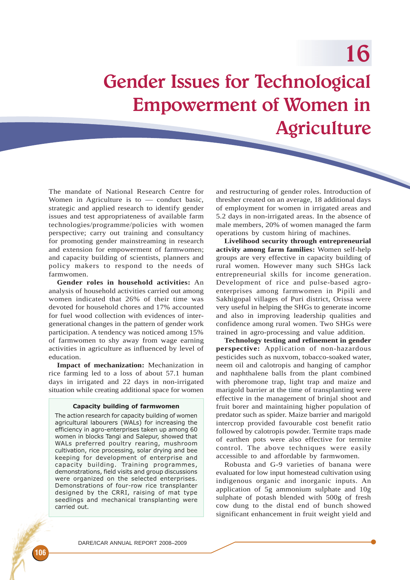Gender Issues for Technological Empowerment of Women in Agriculture

The mandate of National Research Centre for Women in Agriculture is to  $-$  conduct basic, strategic and applied research to identify gender issues and test appropriateness of available farm technologies/programme/policies with women perspective; carry out training and consultancy for promoting gender mainstreaming in research and extension for empowerment of farmwomen; and capacity building of scientists, planners and policy makers to respond to the needs of farmwomen.

**Gender roles in household activities:** An analysis of household activities carried out among women indicated that 26% of their time was devoted for household chores and 17% accounted for fuel wood collection with evidences of intergenerational changes in the pattern of gender work participation. A tendency was noticed among 15% of farmwomen to shy away from wage earning activities in agriculture as influenced by level of education.

**Impact of mechanization:** Mechanization in rice farming led to a loss of about 57.1 human days in irrigated and 22 days in non-irrigated situation while creating additional space for women

### Capacity building of farmwomen

The action research for capacity building of women agricultural labourers (WALs) for increasing the efficiency in agro-enterprises taken up among 60 women in blocks Tangi and Salepur, showed that WALs preferred poultry rearing, mushroom cultivation, rice processing, solar drying and bee keeping for development of enterprise and capacity building. Training programmes, demonstrations, field visits and group discussions were organized on the selected enterprises. Demonstrations of four-row rice transplanter designed by the CRRI, raising of mat type seedlings and mechanical transplanting were carried out.

and restructuring of gender roles. Introduction of thresher created on an average, 18 additional days of employment for women in irrigated areas and 5.2 days in non-irrigated areas. In the absence of male members, 20% of women managed the farm operations by custom hiring of machines.

**Livelihood security through entrepreneurial activity among farm families:** Women self-help groups are very effective in capacity building of rural women. However many such SHGs lack entrepreneurial skills for income generation. Development of rice and pulse-based agroenterprises among farmwomen in Pipili and Sakhigopal villages of Puri district, Orissa were very useful in helping the SHGs to generate income and also in improving leadership qualities and confidence among rural women. Two SHGs were trained in agro-processing and value addition.

**Technology testing and refinement in gender perspective:** Application of non-hazardous pesticides such as nuxvom, tobacco-soaked water, neem oil and calotropis and hanging of camphor and naphthalene balls from the plant combined with pheromone trap, light trap and maize and marigold barrier at the time of transplanting were effective in the management of brinjal shoot and fruit borer and maintaining higher population of predator such as spider. Maize barrier and marigold intercrop provided favourable cost benefit ratio followed by calotropis powder. Termite traps made of earthen pots were also effective for termite control. The above techniques were easily accessible to and affordable by farmwomen.

Robusta and G-9 varieties of banana were evaluated for low input homestead cultivation using indigenous organic and inorganic inputs. An application of 5g ammonium sulphate and 10g sulphate of potash blended with 500g of fresh cow dung to the distal end of bunch showed significant enhancement in fruit weight yield and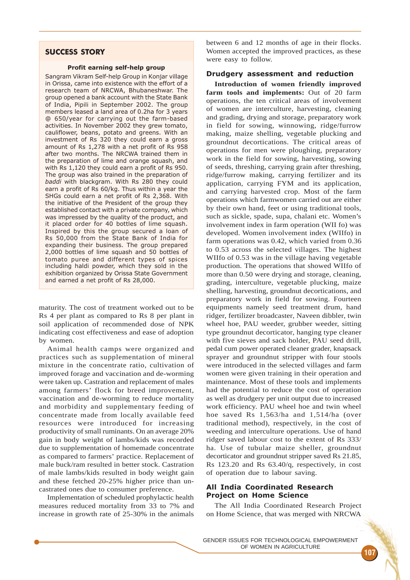# SUCCESS STORY

### Profit earning self-help group

Sangram Vikram Self-help Group in Konjar village in Orissa, came into existence with the effort of a research team of NRCWA, Bhubaneshwar. The group opened a bank account with the State Bank of India, Pipili in September 2002. The group members leased a land area of 0.2ha for 3 years @ 650/year for carrying out the farm-based activities. In November 2002 they grew tomato, cauliflower, beans, potato and greens. With an investment of Rs 320 they could earn a gross amount of Rs 1,278 with a net profit of Rs 958 after two months. The NRCWA trained them in the preparation of lime and orange squash, and with Rs 1,120 they could earn a profit of Rs 950. The group was also trained in the preparation of baddi with blackgram. With Rs 280 they could earn a profit of Rs 60/kg. Thus within a year the SHGs could earn a net profit of Rs 2,368. With the initiative of the President of the group they established contact with a private company, which was impressed by the quality of the product, and it placed order for 40 bottles of lime squash. Inspired by this the group secured a loan of Rs 50,000 from the State Bank of India for expanding their business. The group prepared 2,000 bottles of lime squash and 50 bottles of tomato puree and different types of spices including haldi powder, which they sold in the exhibition organized by Orissa State Government and earned a net profit of Rs 28,000.

maturity. The cost of treatment worked out to be Rs 4 per plant as compared to Rs 8 per plant in soil application of recommended dose of NPK indicating cost effectiveness and ease of adoption by women.

Animal health camps were organized and practices such as supplementation of mineral mixture in the concentrate ratio, cultivation of improved forage and vaccination and de-worming were taken up. Castration and replacement of males among farmers' flock for breed improvement, vaccination and de-worming to reduce mortality and morbidity and supplementary feeding of concentrate made from locally available feed resources were introduced for increasing productivity of small ruminants. On an average 20% gain in body weight of lambs/kids was recorded due to supplementation of homemade concentrate as compared to farmers' practice. Replacement of male buck/ram resulted in better stock. Castration of male lambs/kids resulted in body weight gain and these fetched 20-25% higher price than uncastrated ones due to consumer preference.

Implementation of scheduled prophylactic health measures reduced mortality from 33 to 7% and increase in growth rate of 25-30% in the animals

between 6 and 12 months of age in their flocks. Women accepted the improved practices, as these were easy to follow.

## Drudgery assessment and reduction

**Introduction of women friendly improved farm tools and implements:** Out of 20 farm operations, the ten critical areas of involvement of women are interculture, harvesting, cleaning and grading, drying and storage, preparatory work in field for sowing, winnowing, ridge/furrow making, maize shelling, vegetable plucking and groundnut decortications. The critical areas of operations for men were ploughing, preparatory work in the field for sowing, harvesting, sowing of seeds, threshing, carrying grain after threshing, ridge/furrow making, carrying fertilizer and its application, carrying FYM and its application, and carrying harvested crop. Most of the farm operations which farmwomen carried out are either by their own hand, feet or using traditional tools, such as sickle, spade, supa, chalani etc. Women's involvement index in farm operation (WII fo) was developed. Women involvement index (WIIfo) in farm operations was 0.42, which varied from 0.36 to 0.53 across the selected villages. The highest WIIfo of 0.53 was in the village having vegetable production. The operations that showed WIIfo of more than 0.50 were drying and storage, cleaning, grading, interculture, vegetable plucking, maize shelling, harvesting, groundnut decortications, and preparatory work in field for sowing. Fourteen equipments namely seed treatment drum, hand ridger, fertilizer broadcaster, Naveen dibbler, twin wheel hoe, PAU weeder, grubber weeder, sitting type groundnut decorticator, hanging type cleaner with five sieves and sack holder, PAU seed drill, pedal cum power operated cleaner grader, knapsack sprayer and groundnut stripper with four stools were introduced in the selected villages and farm women were given training in their operation and maintenance. Most of these tools and implements had the potential to reduce the cost of operation as well as drudgery per unit output due to increased work efficiency. PAU wheel hoe and twin wheel hoe saved Rs 1,563/ha and 1,514/ha (over traditional method), respectively, in the cost of weeding and interculture operations. Use of hand ridger saved labour cost to the extent of Rs 333/ ha. Use of tubular maize sheller, groundnut decorticator and groundnut stripper saved Rs 21.85, Rs 123.20 and Rs 63.40/q, respectively, in cost of operation due to labour saving.

## All India Coordinated Research Project on Home Science

The All India Coordinated Research Project on Home Science, that was merged with NRCWA

107